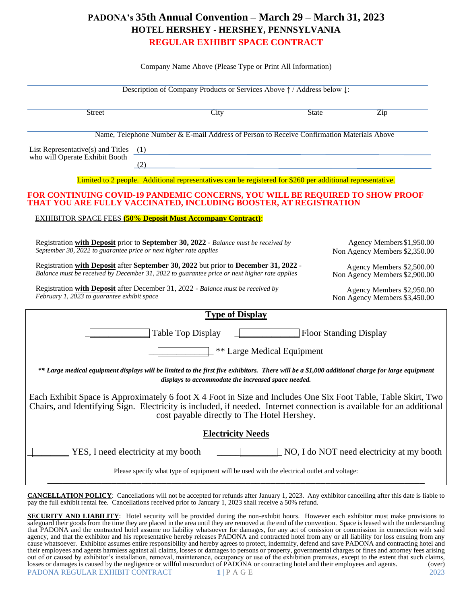## **PADONA's 35th Annual Convention – March 29 – March 31, 2023 HOTEL HERSHEY - HERSHEY, PENNSYLVANIA REGULAR EXHIBIT SPACE CONTRACT**

| Company Name Above (Please Type or Print All Information)                                                                                                                                                                                                                            |      |                                                                                           |                                                            |                                                            |  |
|--------------------------------------------------------------------------------------------------------------------------------------------------------------------------------------------------------------------------------------------------------------------------------------|------|-------------------------------------------------------------------------------------------|------------------------------------------------------------|------------------------------------------------------------|--|
| Description of Company Products or Services Above 1 / Address below $\downarrow$ :                                                                                                                                                                                                   |      |                                                                                           |                                                            |                                                            |  |
| <b>Street</b>                                                                                                                                                                                                                                                                        | City |                                                                                           | <b>State</b>                                               | $\overline{\mathrm{Zip}}$                                  |  |
| Name, Telephone Number & E-mail Address of Person to Receive Confirmation Materials Above                                                                                                                                                                                            |      |                                                                                           |                                                            |                                                            |  |
| List Representative(s) and Titles $(1)$<br>who will Operate Exhibit Booth<br>(2)                                                                                                                                                                                                     |      | the control of the control of the control of the control of the control of the control of |                                                            |                                                            |  |
| Limited to 2 people. Additional representatives can be registered for \$260 per additional representative.                                                                                                                                                                           |      |                                                                                           |                                                            |                                                            |  |
| FOR CONTINUING COVID-19 PANDEMIC CONCERNS, YOU WILL BE REQUIRED TO SHOW PROOF<br>THAT YOU ARE FULLY VACCINATED, INCLUDING BOOSTER, AT REGISTRATION                                                                                                                                   |      |                                                                                           |                                                            |                                                            |  |
| <b>EXHIBITOR SPACE FEES</b> (50% Deposit Must Accompany Contract):                                                                                                                                                                                                                   |      |                                                                                           |                                                            |                                                            |  |
| Registration with Deposit prior to September 30, 2022 - Balance must be received by<br>September 30, $\overline{2022}$ to guarantee price or next higher rate applies                                                                                                                |      |                                                                                           | Agency Members \$1,950.00<br>Non Agency Members \$2,350.00 |                                                            |  |
| Registration with Deposit after September 30, 2022 but prior to December 31, 2022 -<br>Balance must be received by December 31, 2022 to guarantee price or next higher rate applies                                                                                                  |      |                                                                                           | Agency Members \$2,500.00<br>Non Agency Members \$2,900.00 |                                                            |  |
| Registration with Deposit after December 31, 2022 - Balance must be received by<br>February 1, 2023 to guarantee exhibit space                                                                                                                                                       |      |                                                                                           |                                                            | Agency Members \$2,950.00<br>Non Agency Members \$3,450.00 |  |
| <b>Type of Display</b>                                                                                                                                                                                                                                                               |      |                                                                                           |                                                            |                                                            |  |
| <b>Floor Standing Display</b><br>Table Top Display                                                                                                                                                                                                                                   |      |                                                                                           |                                                            |                                                            |  |
| ** Large Medical Equipment                                                                                                                                                                                                                                                           |      |                                                                                           |                                                            |                                                            |  |
| ** Large medical equipment displays will be limited to the first five exhibitors. There will be a \$1,000 additional charge for large equipment<br>displays to accommodate the increased space needed.                                                                               |      |                                                                                           |                                                            |                                                            |  |
| Each Exhibit Space is Approximately 6 foot X 4 Foot in Size and Includes One Six Foot Table, Table Skirt, Two<br>Chairs, and Identifying Sign. Electricity is included, if needed. Internet connection is available for an additional<br>cost payable directly to The Hotel Hershey. |      |                                                                                           |                                                            |                                                            |  |
| <b>Electricity Needs</b>                                                                                                                                                                                                                                                             |      |                                                                                           |                                                            |                                                            |  |
| YES, I need electricity at my booth<br>NO, I do NOT need electricity at my booth                                                                                                                                                                                                     |      |                                                                                           |                                                            |                                                            |  |
| Please specify what type of equipment will be used with the electrical outlet and voltage:                                                                                                                                                                                           |      |                                                                                           |                                                            |                                                            |  |

**CANCELLATION POLICY**: Cancellations will not be accepted for refunds after January 1, 2023. Any exhibitor cancelling after this date is liable to pay the full exhibit rental fee. Cancellations received prior to January 1, 2023 shall receive a 50% refund.

PADONA REGULAR EXHIBIT CONTRACT **1** | P A G E 2023 **SECURITY AND LIABILITY:** Hotel security will be provided during the non-exhibit hours. However each exhibitor must make provisions to safeguard their goods from the time they are placed in the area until they are removed at the end of the convention. Space is leased with the understanding that PADONA and the contracted hotel assume no liability whatsoever for damages, for any act of omission or commission in connection with said agency, and that the exhibitor and his representative hereby releases PADONA and contracted hotel from any or all liability for loss ensuing from any cause whatsoever. Exhibitor assumes entire responsibility and hereby agrees to protect, indemnify, defend and save PADONA and contracting hotel and their employees and agents harmless against all claims, losses or damages to persons or property, governmental charges or fines and attorney fees arising out of or caused by exhibitor's installation, removal, maintenance, occupancy or use of the exhibition premises, except to the extent that such claims, losses or damages is caused by the negligence or willful misconduct of PADONA or contracting hotel and their employees and agents. (over)